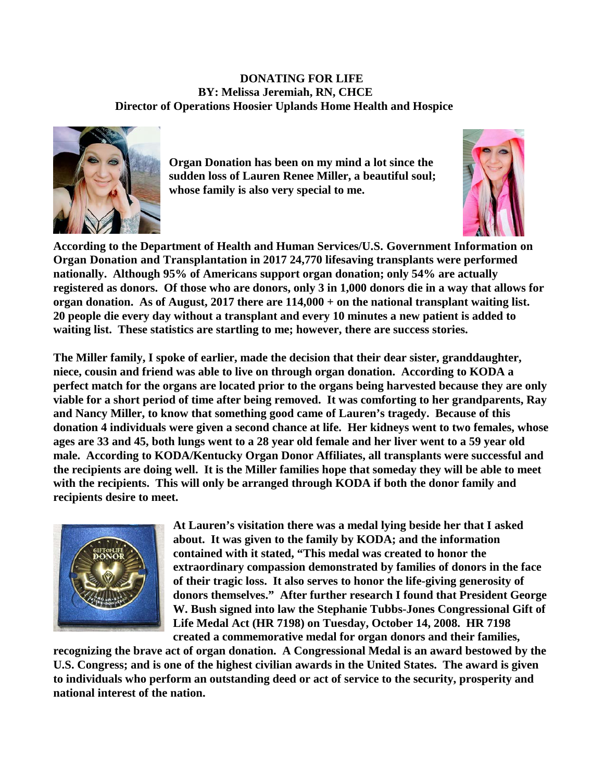**DONATING FOR LIFE BY: Melissa Jeremiah, RN, CHCE Director of Operations Hoosier Uplands Home Health and Hospice**



**Organ Donation has been on my mind a lot since the sudden loss of Lauren Renee Miller, a beautiful soul; whose family is also very special to me.** 



**According to the Department of Health and Human Services/U.S. Government Information on Organ Donation and Transplantation in 2017 24,770 lifesaving transplants were performed nationally. Although 95% of Americans support organ donation; only 54% are actually registered as donors. Of those who are donors, only 3 in 1,000 donors die in a way that allows for organ donation. As of August, 2017 there are 114,000 + on the national transplant waiting list. 20 people die every day without a transplant and every 10 minutes a new patient is added to waiting list. These statistics are startling to me; however, there are success stories.**

**The Miller family, I spoke of earlier, made the decision that their dear sister, granddaughter, niece, cousin and friend was able to live on through organ donation. According to KODA a perfect match for the organs are located prior to the organs being harvested because they are only viable for a short period of time after being removed. It was comforting to her grandparents, Ray and Nancy Miller, to know that something good came of Lauren's tragedy. Because of this donation 4 individuals were given a second chance at life. Her kidneys went to two females, whose ages are 33 and 45, both lungs went to a 28 year old female and her liver went to a 59 year old male. According to KODA/Kentucky Organ Donor Affiliates, all transplants were successful and the recipients are doing well. It is the Miller families hope that someday they will be able to meet with the recipients. This will only be arranged through KODA if both the donor family and recipients desire to meet.**



**At Lauren's visitation there was a medal lying beside her that I asked about. It was given to the family by KODA; and the information contained with it stated, "This medal was created to honor the extraordinary compassion demonstrated by families of donors in the face of their tragic loss. It also serves to honor the life-giving generosity of donors themselves." After further research I found that President George W. Bush signed into law the Stephanie Tubbs-Jones Congressional Gift of Life Medal Act (HR 7198) on Tuesday, October 14, 2008. HR 7198 created a commemorative medal for organ donors and their families,** 

**recognizing the brave act of organ donation. A Congressional Medal is an award bestowed by the U.S. Congress; and is one of the highest civilian awards in the United States. The award is given to individuals who perform an outstanding deed or act of service to the security, prosperity and national interest of the nation.**